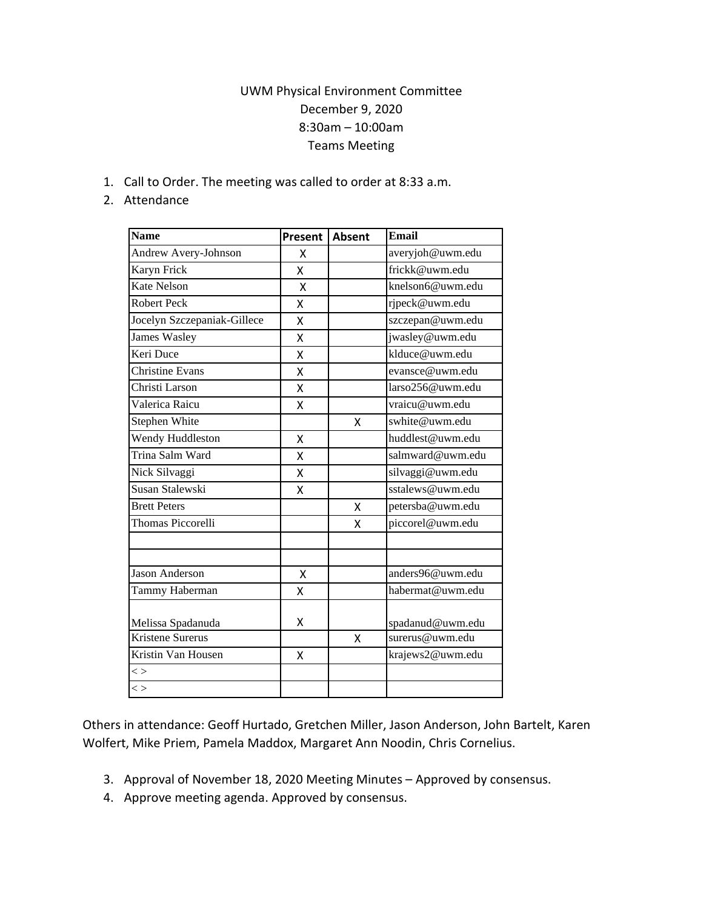## UWM Physical Environment Committee December 9, 2020 8:30am – 10:00am Teams Meeting

1. Call to Order. The meeting was called to order at 8:33 a.m.

## 2. Attendance

| <b>Name</b>                 | Present | <b>Absent</b> | <b>Email</b>     |
|-----------------------------|---------|---------------|------------------|
| Andrew Avery-Johnson        | x       |               | averyjoh@uwm.edu |
| Karyn Frick                 | Χ       |               | frickk@uwm.edu   |
| Kate Nelson                 | X       |               | knelson6@uwm.edu |
| Robert Peck                 | x       |               | rjpeck@uwm.edu   |
| Jocelyn Szczepaniak-Gillece | X       |               | szczepan@uwm.edu |
| <b>James Wasley</b>         | Χ       |               | jwasley@uwm.edu  |
| Keri Duce                   | Χ       |               | klduce@uwm.edu   |
| <b>Christine Evans</b>      | X       |               | evansce@uwm.edu  |
| Christi Larson              | Χ       |               | larso256@uwm.edu |
| Valerica Raicu              | Χ       |               | vraicu@uwm.edu   |
| Stephen White               |         | X             | swhite@uwm.edu   |
| Wendy Huddleston            | Χ       |               | huddlest@uwm.edu |
| Trina Salm Ward             | Χ       |               | salmward@uwm.edu |
| Nick Silvaggi               | X       |               | silvaggi@uwm.edu |
| Susan Stalewski             | X       |               | sstalews@uwm.edu |
| <b>Brett Peters</b>         |         | X             | petersba@uwm.edu |
| Thomas Piccorelli           |         | X             | piccorel@uwm.edu |
|                             |         |               |                  |
| Jason Anderson              | Χ       |               | anders96@uwm.edu |
| Tammy Haberman              | Χ       |               | habermat@uwm.edu |
| Melissa Spadanuda           | X       |               | spadanud@uwm.edu |
| Kristene Surerus            |         | X             | surerus@uwm.edu  |
| Kristin Van Housen          | X       |               | krajews2@uwm.edu |
| $\lt$                       |         |               |                  |
| $\lt$                       |         |               |                  |

Others in attendance: Geoff Hurtado, Gretchen Miller, Jason Anderson, John Bartelt, Karen Wolfert, Mike Priem, Pamela Maddox, Margaret Ann Noodin, Chris Cornelius.

- 3. Approval of November 18, 2020 Meeting Minutes Approved by consensus.
- 4. Approve meeting agenda. Approved by consensus.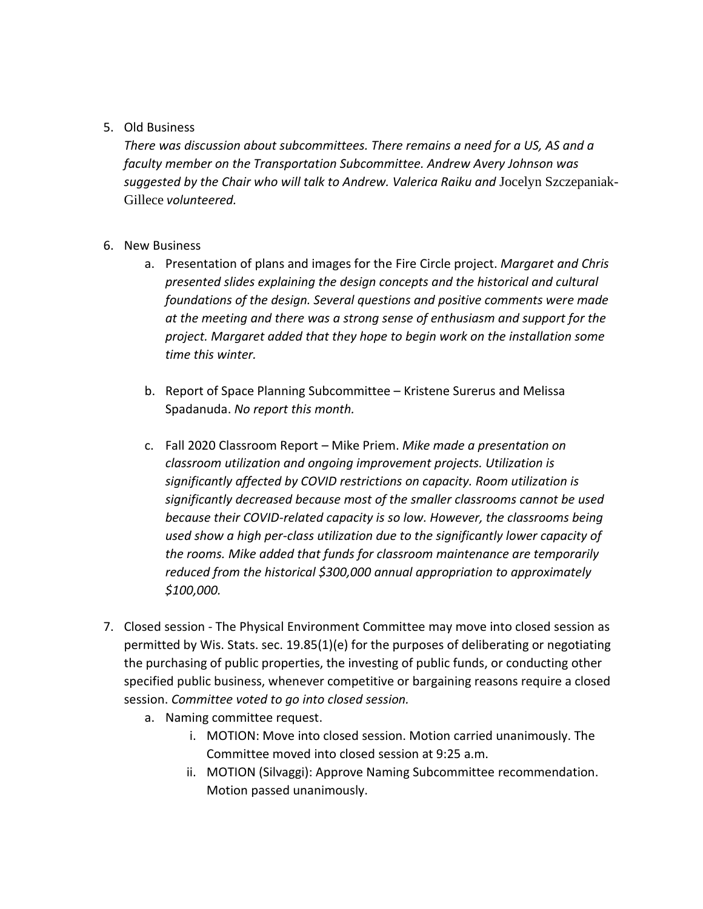## 5. Old Business

*There was discussion about subcommittees. There remains a need for a US, AS and a faculty member on the Transportation Subcommittee. Andrew Avery Johnson was suggested by the Chair who will talk to Andrew. Valerica Raiku and* Jocelyn Szczepaniak-Gillece *volunteered.* 

## 6. New Business

- a. Presentation of plans and images for the Fire Circle project. *Margaret and Chris presented slides explaining the design concepts and the historical and cultural foundations of the design. Several questions and positive comments were made at the meeting and there was a strong sense of enthusiasm and support for the project. Margaret added that they hope to begin work on the installation some time this winter.*
- b. Report of Space Planning Subcommittee Kristene Surerus and Melissa Spadanuda. *No report this month.*
- c. Fall 2020 Classroom Report Mike Priem. *Mike made a presentation on classroom utilization and ongoing improvement projects. Utilization is significantly affected by COVID restrictions on capacity. Room utilization is significantly decreased because most of the smaller classrooms cannot be used because their COVID-related capacity is so low. However, the classrooms being used show a high per-class utilization due to the significantly lower capacity of the rooms. Mike added that funds for classroom maintenance are temporarily reduced from the historical \$300,000 annual appropriation to approximately \$100,000.*
- 7. Closed session The Physical Environment Committee may move into closed session as permitted by Wis. Stats. sec. 19.85(1)(e) for the purposes of deliberating or negotiating the purchasing of public properties, the investing of public funds, or conducting other specified public business, whenever competitive or bargaining reasons require a closed session. *Committee voted to go into closed session.*
	- a. Naming committee request.
		- i. MOTION: Move into closed session. Motion carried unanimously. The Committee moved into closed session at 9:25 a.m.
		- ii. MOTION (Silvaggi): Approve Naming Subcommittee recommendation. Motion passed unanimously.